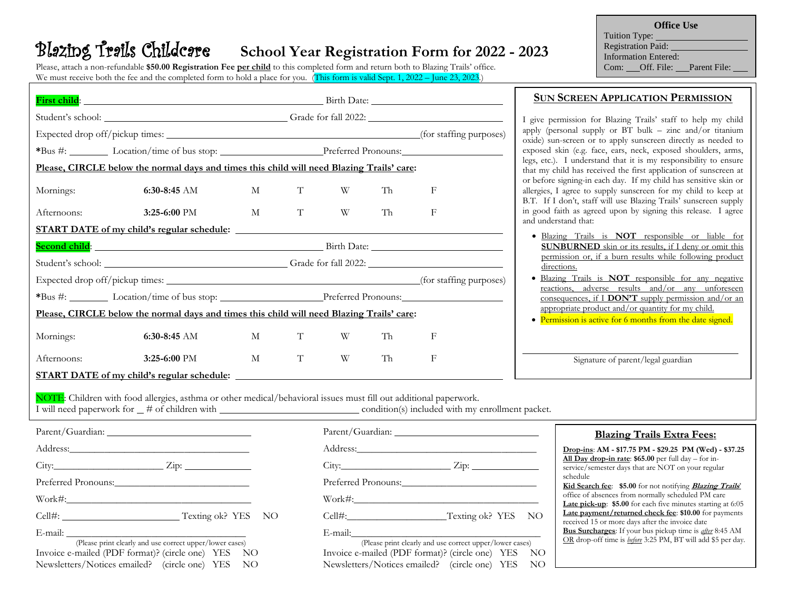# Blazing Trails Childcare **School Year Registration Form for 2022 - 2023**

Please, attach a non-refundable **\$50.00 Registration Fee per child** to this completed form and return both to Blazing Trails' office. We must receive both the fee and the completed form to hold a place for you. (This form is valid Sept. 1, 2022 – June 23, 2023.)

**Office Use** Tuition Type: Registration Paid: Information Entered: Com: Off. File: Parent File:

|                                                                                                                                                                                                                                                          | First child: <u>First child:</u> Exercise Contract Contract Contract Contract Contract Contract Contract Contract Contract Contract Contract Contract Contract Contract Contract Contract Contract Contract Contract Contract Contr |                                                        |                                        |   |    |            |  |
|----------------------------------------------------------------------------------------------------------------------------------------------------------------------------------------------------------------------------------------------------------|-------------------------------------------------------------------------------------------------------------------------------------------------------------------------------------------------------------------------------------|--------------------------------------------------------|----------------------------------------|---|----|------------|--|
|                                                                                                                                                                                                                                                          |                                                                                                                                                                                                                                     |                                                        | Student's school: Crade for fall 2022: |   |    |            |  |
|                                                                                                                                                                                                                                                          |                                                                                                                                                                                                                                     |                                                        |                                        |   |    |            |  |
|                                                                                                                                                                                                                                                          |                                                                                                                                                                                                                                     | *Bus #: Location/time of bus stop: Preferred Pronouns: |                                        |   |    |            |  |
|                                                                                                                                                                                                                                                          | Please, CIRCLE below the normal days and times this child will need Blazing Trails' care:                                                                                                                                           |                                                        |                                        |   |    |            |  |
| Mornings:                                                                                                                                                                                                                                                | 6:30-8:45 AM                                                                                                                                                                                                                        | M                                                      | T                                      | W | Th | F          |  |
| Afternoons:                                                                                                                                                                                                                                              | $3:25-6:00$ PM                                                                                                                                                                                                                      | M                                                      | $\mathbf T$                            | W | Th | F          |  |
|                                                                                                                                                                                                                                                          |                                                                                                                                                                                                                                     |                                                        |                                        |   |    |            |  |
|                                                                                                                                                                                                                                                          | Second child: <u>Second child:</u> Second child: Second child: Second child: Second child: Second child: Second child: Second child: Second child: Second child: Second child: Second child: Second child: Second child: Second chi |                                                        |                                        |   |    |            |  |
|                                                                                                                                                                                                                                                          |                                                                                                                                                                                                                                     |                                                        |                                        |   |    |            |  |
|                                                                                                                                                                                                                                                          |                                                                                                                                                                                                                                     |                                                        |                                        |   |    |            |  |
|                                                                                                                                                                                                                                                          |                                                                                                                                                                                                                                     | *Bus #: Location/time of bus stop: Preferred Pronouns: |                                        |   |    |            |  |
| Please, CIRCLE below the normal days and times this child will need Blazing Trails' care:                                                                                                                                                                |                                                                                                                                                                                                                                     |                                                        |                                        |   |    |            |  |
| Mornings:                                                                                                                                                                                                                                                | 6:30-8:45 AM                                                                                                                                                                                                                        | M                                                      | T                                      | W | Th | F          |  |
| Afternoons:                                                                                                                                                                                                                                              | $3:25-6:00$ PM                                                                                                                                                                                                                      | $\mathbf{M}$                                           | T                                      | W | Th | $_{\rm F}$ |  |
| <u>START DATE of my child's regular schedule:</u>                                                                                                                                                                                                        |                                                                                                                                                                                                                                     |                                                        |                                        |   |    |            |  |
| NOTE: Children with food allergies, asthma or other medical/behavioral issues must fill out additional paperwork.<br>I will need paperwork for $\mu$ to f children with <b>container the containing of the condition</b> (s) included with my enrollment |                                                                                                                                                                                                                                     |                                                        |                                        |   |    |            |  |

## **SUN SCREEN APPLICATION PERMISSION**

I give permission for Blazing Trails' staff to help my child apply (personal supply or  $BT$  bulk – zinc and/or titanium oxide) sun-screen or to apply sunscreen directly as needed to exposed skin (e.g. face, ears, neck, exposed shoulders, arms, legs, etc.). I understand that it is my responsibility to ensure that my child has received the first application of sunscreen at or before signing-in each day. If my child has sensitive skin or allergies, I agree to supply sunscreen for my child to keep at B.T. If I don't, staff will use Blazing Trails' sunscreen supply in good faith as agreed upon by signing this release. I agree and understand that:

- Blazing Trails is **NOT** responsible or liable for **SUNBURNED** skin or its results, if I deny or omit this permission or, if a burn results while following product directions.
- Blazing Trails is **NOT** responsible for any negative reactions, adverse results and/or any unforeseen consequences, if I **DON'T** supply permission and/or an appropriate product and/or quantity for my child.
- Permission is active for 6 months from the date signed.

Signature of parent/legal guardian

 $\overline{a}$ 

I will need paperwork for  $\mu$  to f children with condition condition(s) included with my enrollment packet.

| $City:$ $Zip:$ $Zip:$ | City: |  |  |  |
|-----------------------|-------|--|--|--|
| Preferred Pronouns:   |       |  |  |  |
|                       |       |  |  |  |

Cell#: Texting ok? YES NO Cell#:\_\_\_\_\_\_\_\_\_\_\_\_\_\_\_\_\_\_\_\_Texting ok? YES NO

 (Please print clearly and use correct upper/lower cases) (Please print clearly and use correct upper/lower cases) Invoice e-mailed (PDF format)? (circle one) YES NO Invoice e-mailed (PDF format)? (circle one) YES NO Newsletters/Notices emailed? (circle one) YES NO Newsletters/Notices emailed? (circle one) YES NO

 $\text{Work$\#$}:$ 

E-mail: \_\_\_\_\_\_\_\_\_\_\_\_\_\_\_\_\_\_\_\_\_\_\_\_\_\_\_\_\_\_\_\_\_\_\_\_ E-mail:\_\_\_\_\_\_\_\_\_\_\_\_\_\_\_\_\_\_\_\_\_\_\_\_\_\_\_\_\_\_\_\_\_\_\_\_\_\_

### **Blazing Trails Extra Fees:**

**Drop-ins**: **AM - \$17.75 PM - \$29.25 PM (Wed) - \$37.25 All Day drop-in rate**: **\$65.00** per full day – for inservice/semester days that are NOT on your regular schedule **Kid Search fee**: **\$5.00** for not notifying **Blazing Trails**' office of absences from normally scheduled PM care **Late pick-up**: **\$5.00** for each five minutes starting at 6:05 **Late payment/returned check fee**: **\$10.00** for payments

received 15 or more days after the invoice date **Bus Surcharges**: If your bus pickup time is *after* 8:45 AM OR drop-off time is *before* 3:25 PM, BT will add \$5 per day.